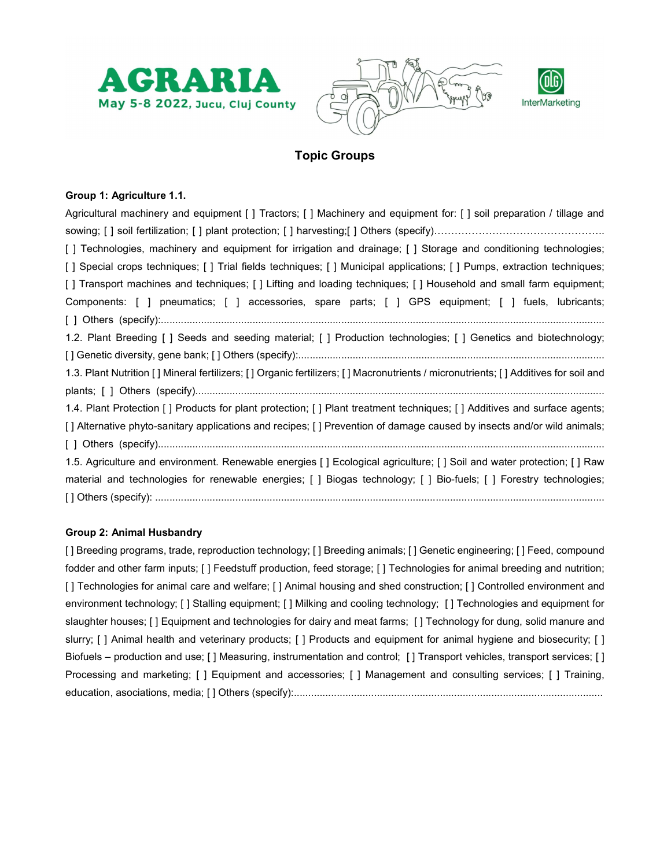





# Topic Groups

## Group 1: Agriculture 1.1.

| Agricultural machinery and equipment [] Tractors; [] Machinery and equipment for: [] soil preparation / tillage and                |
|------------------------------------------------------------------------------------------------------------------------------------|
|                                                                                                                                    |
| [ ] Technologies, machinery and equipment for irrigation and drainage; [ ] Storage and conditioning technologies;                  |
| [] Special crops techniques; [] Trial fields techniques; [] Municipal applications; [] Pumps, extraction techniques;               |
| [] Transport machines and techniques; [] Lifting and loading techniques; [] Household and small farm equipment;                    |
| Components: [ ] pneumatics; [ ] accessories, spare parts; [ ] GPS equipment; [ ] fuels, lubricants;                                |
|                                                                                                                                    |
| 1.2. Plant Breeding [] Seeds and seeding material; [] Production technologies; [] Genetics and biotechnology;                      |
|                                                                                                                                    |
| 1.3. Plant Nutrition [] Mineral fertilizers; [] Organic fertilizers; [] Macronutrients / micronutrients; [] Additives for soil and |
|                                                                                                                                    |
| 1.4. Plant Protection [] Products for plant protection; [] Plant treatment techniques; [] Additives and surface agents;            |
| [] Alternative phyto-sanitary applications and recipes; [] Prevention of damage caused by insects and/or wild animals;             |
|                                                                                                                                    |
| 1.5. Agriculture and environment. Renewable energies [] Ecological agriculture; [] Soil and water protection; [] Raw               |
| material and technologies for renewable energies; [] Biogas technology; [] Bio-fuels; [] Forestry technologies;                    |
|                                                                                                                                    |

#### Group 2: Animal Husbandry

[] Breeding programs, trade, reproduction technology; [] Breeding animals; [] Genetic engineering; [] Feed, compound fodder and other farm inputs; [ ] Feedstuff production, feed storage; [ ] Technologies for animal breeding and nutrition; [] Technologies for animal care and welfare; [] Animal housing and shed construction; [] Controlled environment and environment technology; [ ] Stalling equipment; [ ] Milking and cooling technology; [ ] Technologies and equipment for slaughter houses; [ ] Equipment and technologies for dairy and meat farms; [ ] Technology for dung, solid manure and slurry; [ ] Animal health and veterinary products; [ ] Products and equipment for animal hygiene and biosecurity; [ ] Biofuels – production and use; [] Measuring, instrumentation and control; [] Transport vehicles, transport services; [] Processing and marketing; [ ] Equipment and accessories; [ ] Management and consulting services; [ ] Training, education, asociations, media; [ ] Others (specify):............................................................................................................